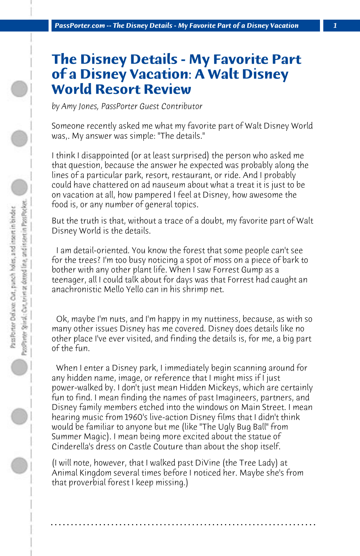## **The Disney Details - My Favorite Part of a Disney Vacation: A Walt Disney World Resort Review**

*by Amy Jones, PassPorter Guest Contributor*

Someone recently asked me what my favorite part of Walt Disney World was,. My answer was simple: "The details."

I think I disappointed (or at least surprised) the person who asked me that question, because the answer he expected was probably along the lines of a particular park, resort, restaurant, or ride. And I probably could have chattered on ad nauseum about what a treat it is just to be on vacation at all, how pampered I feel at Disney, how awesome the food is, or any number of general topics.

But the truth is that, without a trace of a doubt, my favorite part of Walt Disney World is the details.

 I am detail-oriented. You know the forest that some people can't see for the trees? I'm too busy noticing a spot of moss on a piece of bark to bother with any other plant life. When I saw Forrest Gump as a teenager, all I could talk about for days was that Forrest had caught an anachronistic Mello Yello can in his shrimp net.

 Ok, maybe I'm nuts, and I'm happy in my nuttiness, because, as with so many other issues Disney has me covered. Disney does details like no other place I've ever visited, and finding the details is, for me, a big part of the fun.

 When I enter a Disney park, I immediately begin scanning around for any hidden name, image, or reference that I might miss if I just power-walked by. I don't just mean Hidden Mickeys, which are certainly fun to find. I mean finding the names of past Imagineers, partners, and Disney family members etched into the windows on Main Street. I mean hearing music from 1960's live-action Disney films that I didn't think would be familiar to anyone but me (like "The Ugly Bug Ball" from Summer Magic). I mean being more excited about the statue of Cinderella's dress on Castle Couture than about the shop itself.

(I will note, however, that I walked past DiVine (the Tree Lady) at Animal Kingdom several times before I noticed her. Maybe she's from that proverbial forest I keep missing.)

**. . . . . . . . . . . . . . . . . . . . . . . . . . . . . . . . . . . . . . . . . . . . . . . . . . . . . . . . . . . . . . . . . .**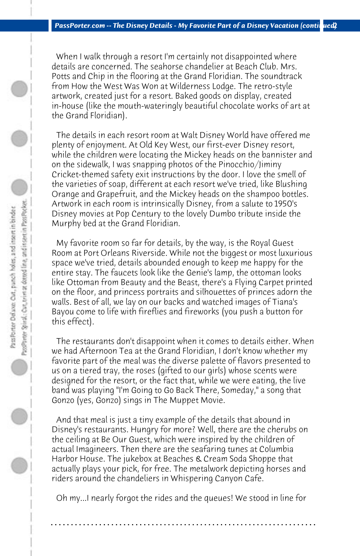When I walk through a resort I'm certainly not disappointed where details are concerned. The seahorse chandelier at Beach Club. Mrs. Potts and Chip in the flooring at the Grand Floridian. The soundtrack from How the West Was Won at Wilderness Lodge. The retro-style artwork, created just for a resort. Baked goods on display, created in-house (like the mouth-wateringly beautiful chocolate works of art at the Grand Floridian).

 The details in each resort room at Walt Disney World have offered me plenty of enjoyment. At Old Key West, our first-ever Disney resort, while the children were locating the Mickey heads on the bannister and on the sidewalk, I was snapping photos of the Pinocchio/Jiminy Cricket-themed safety exit instructions by the door. I love the smell of the varieties of soap, different at each resort we've tried, like Blushing Orange and Grapefruit, and the Mickey heads on the shampoo bottles. Artwork in each room is intrinsically Disney, from a salute to 1950's Disney movies at Pop Century to the lovely Dumbo tribute inside the Murphy bed at the Grand Floridian.

 My favorite room so far for details, by the way, is the Royal Guest Room at Port Orleans Riverside. While not the biggest or most luxurious space we've tried, details abounded enough to keep me happy for the entire stay. The faucets look like the Genie's lamp, the ottoman looks like Ottoman from Beauty and the Beast, there's a Flying Carpet printed on the floor, and princess portraits and silhouettes of princes adorn the walls. Best of all, we lay on our backs and watched images of Tiana's Bayou come to life with fireflies and fireworks (you push a button for this effect).

 The restaurants don't disappoint when it comes to details either. When we had Afternoon Tea at the Grand Floridian, I don't know whether my favorite part of the meal was the diverse palette of flavors presented to us on a tiered tray, the roses (gifted to our girls) whose scents were designed for the resort, or the fact that, while we were eating, the live band was playing "I'm Going to Go Back There, Someday," a song that Gonzo (yes, Gonzo) sings in The Muppet Movie.

 And that meal is just a tiny example of the details that abound in Disney's restaurants. Hungry for more? Well, there are the cherubs on the ceiling at Be Our Guest, which were inspired by the children of actual Imagineers. Then there are the seafaring tunes at Columbia Harbor House. The jukebox at Beaches & Cream Soda Shoppe that actually plays your pick, for free. The metalwork depicting horses and riders around the chandeliers in Whispering Canyon Cafe.

 Oh my...I nearly forgot the rides and the queues! We stood in line for

**. . . . . . . . . . . . . . . . . . . . . . . . . . . . . . . . . . . . . . . . . . . . . . . . . . . . . . . . . . . . . . . . . .**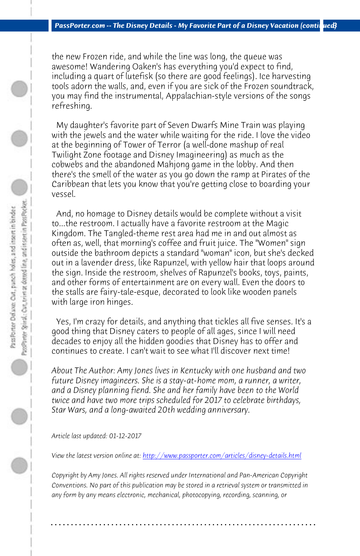*PassPorter.com -- The Disney Details - My Favorite Part of a Disney Vacation (continued)* 

the new Frozen ride, and while the line was long, the queue was awesome! Wandering Oaken's has everything you'd expect to find, including a quart of lutefisk (so there are good feelings). Ice harvesting tools adorn the walls, and, even if you are sick of the Frozen soundtrack, you may find the instrumental, Appalachian-style versions of the songs refreshing.

 My daughter's favorite part of Seven Dwarfs Mine Train was playing with the jewels and the water while waiting for the ride. I love the video at the beginning of Tower of Terror (a well-done mashup of real Twilight Zone footage and Disney Imagineering) as much as the cobwebs and the abandoned Mahjong game in the lobby. And then there's the smell of the water as you go down the ramp at Pirates of the Caribbean that lets you know that you're getting close to boarding your vessel.

 And, no homage to Disney details would be complete without a visit to...the restroom. I actually have a favorite restroom at the Magic Kingdom. The Tangled-theme rest area had me in and out almost as often as, well, that morning's coffee and fruit juice. The "Women" sign outside the bathroom depicts a standard "woman" icon, but she's decked out in a lavender dress, like Rapunzel, with yellow hair that loops around the sign. Inside the restroom, shelves of Rapunzel's books, toys, paints, and other forms of entertainment are on every wall. Even the doors to the stalls are fairy-tale-e[sque, decorated to look like wooden panels](http://www.passporter.com/articles/disney-details.php) with large iron hinges.

 Yes, I'm crazy for details, and anything that tickles all five senses. It's a good thing that Disney caters to people of all ages, since I will need decades to enjoy all the hidden goodies that Disney has to offer and continues to create. I can't wait to see what I'll discover next time!

*About The Author: Amy Jones lives in Kentucky with one husband and two future Disney imagineers. She is a stay-at-home mom, a runner, a writer, and a Disney planning fiend. She and her family have been to the World twice and have two more trips scheduled for 2017 to celebrate birthdays, Star Wars, and a long-awaited 20th wedding anniversary.*

*Article last updated: 01-12-2017*

*View the latest version online at: http://www.passporter.com/articles/disney-details.html*

*Copyright by Amy Jones. All rights reserved under International and Pan-American Copyright Conventions. No part of this publication may be stored in a retrieval system or transmitted in any form by any means electronic, mechanical, photocopying, recording, scanning, or*

**. . . . . . . . . . . . . . . . . . . . . . . . . . . . . . . . . . . . . . . . . . . . . . . . . . . . . . . . . . . . . . . . . .**